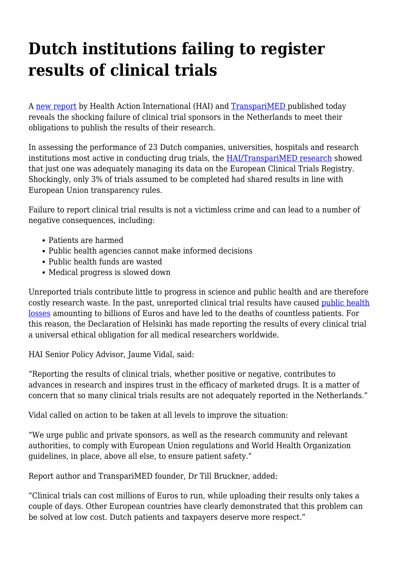## **Dutch institutions failing to register results of clinical trials**

A [new report](https://haiweb.org/wp-content/uploads/2020/08/Clinical_Trial_Transparency_NL_Aug2020.pdf) by Health Action International (HAI) and [TranspariMED](https://www.transparimed.org/about) published today reveals the shocking failure of clinical trial sponsors in the Netherlands to meet their obligations to publish the results of their research.

In assessing the performance of 23 Dutch companies, universities, hospitals and research institutions most active in conducting drug trials, the [HAI/TranspariMED research](https://haiweb.org/wp-content/uploads/2020/08/Clinical_Trial_Transparency_NL_Aug2020.pdf) showed that just one was adequately managing its data on the European Clinical Trials Registry. Shockingly, only 3% of trials assumed to be completed had shared results in line with European Union transparency rules.

Failure to report clinical trial results is not a victimless crime and can lead to a number of negative consequences, including:

- Patients are harmed
- Public health agencies cannot make informed decisions
- Public health funds are wasted
- Medical progress is slowed down

Unreported trials contribute little to progress in science and public health and are therefore costly research waste. In the past, unreported clinical trial results have caused [public health](https://media.wix.com/ugd/01f35d_0f2955eb88e34c02b82d886c528efeb4.pdf) [losses](https://media.wix.com/ugd/01f35d_0f2955eb88e34c02b82d886c528efeb4.pdf) amounting to billions of Euros and have led to the deaths of countless patients. For this reason, the Declaration of Helsinki has made reporting the results of every clinical trial a universal ethical obligation for all medical researchers worldwide.

HAI Senior Policy Advisor, Jaume Vidal, said:

"Reporting the results of clinical trials, whether positive or negative, contributes to advances in research and inspires trust in the efficacy of marketed drugs. It is a matter of concern that so many clinical trials results are not adequately reported in the Netherlands."

Vidal called on action to be taken at all levels to improve the situation:

"We urge public and private sponsors, as well as the research community and relevant authorities, to comply with European Union regulations and World Health Organization guidelines, in place, above all else, to ensure patient safety."

Report author and TranspariMED founder, Dr Till Bruckner, added:

"Clinical trials can cost millions of Euros to run, while uploading their results only takes a couple of days. Other European countries have clearly demonstrated that this problem can be solved at low cost. Dutch patients and taxpayers deserve more respect."